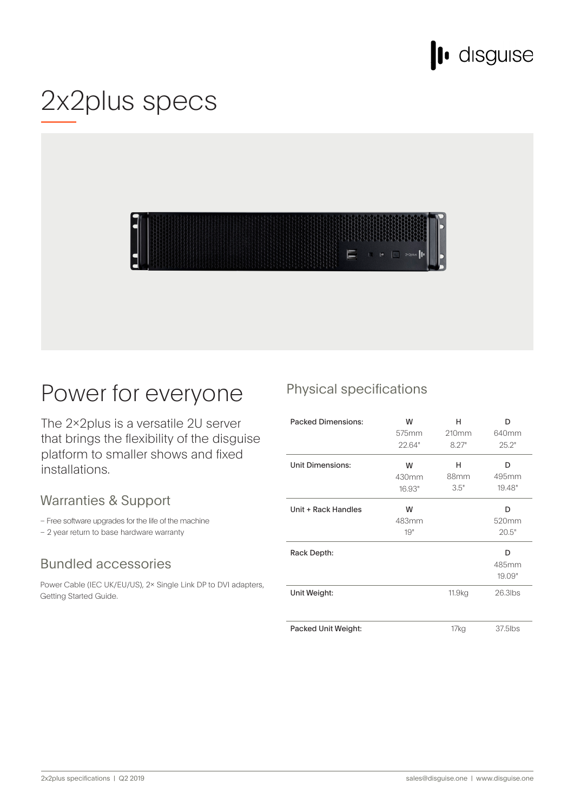

## 2x2plus specs



## Power for everyone

The 2×2plus is a versatile 2U server that brings the flexibility of the disguise platform to smaller shows and fixed .installations

### Warranties & Support

– Free software upgrades for the life of the machine

- 2 year return to base hardware warranty

### **Bundled accessories**

Power Cable (IEC UK/EU/US), 2x Single Link DP to DVI adapters, Getting Started Guide.

### Physical specifications

| <b>Packed Dimensions:</b> | w<br>575mm<br>22.64" | н<br>210mm<br>8.27" | D<br>640mm<br>25.2"  |
|---------------------------|----------------------|---------------------|----------------------|
| Unit Dimensions:          | W<br>430mm<br>16.93" | н<br>88mm<br>3.5"   | D<br>495mm<br>19.48" |
| Unit + Rack Handles       | W<br>483mm<br>19"    |                     | D<br>520mm<br>20.5"  |
| Rack Depth:               |                      |                     | D<br>485mm<br>19.09" |
| Unit Weight:              |                      | 11.9 <sub>kg</sub>  | $26.3$ lbs           |
| Packed Unit Weight:       |                      | 17kg                | 37.5lbs              |